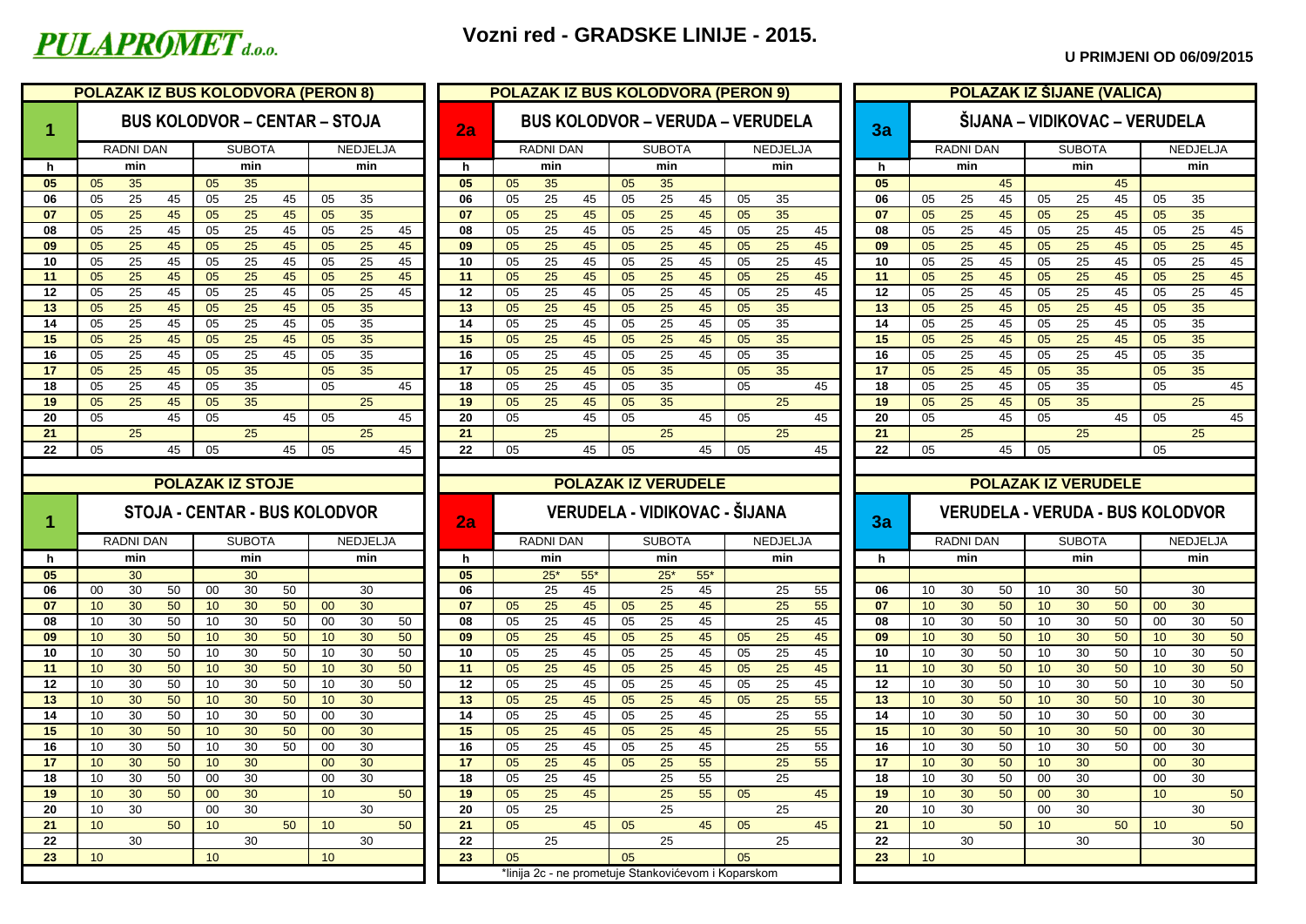## PULAPROMET<sub>d.o.o.</sub>

### **Vozni red - GRADSKE LINIJE - 2015.**

#### **U PRIMJENI OD 06/09/2015**

|          |                 | POLAZAK IZ BUS KOLODVORA (PERON 8)   |                 |                         |    |                 |                 |    |          | <b>POLAZAK IZ BUS KOLODVORA (PERON 9)</b> |           |       |    |                                         |       |    |                 |    |                            |                 |                  |    | POLAZAK IZ ŠIJANE (VALICA)              |               |    |                 |                 |                |
|----------|-----------------|--------------------------------------|-----------------|-------------------------|----|-----------------|-----------------|----|----------|-------------------------------------------|-----------|-------|----|-----------------------------------------|-------|----|-----------------|----|----------------------------|-----------------|------------------|----|-----------------------------------------|---------------|----|-----------------|-----------------|----------------|
| 1        |                 | <b>BUS KOLODVOR - CENTAR - STOJA</b> |                 |                         |    |                 |                 |    | 2a       |                                           |           |       |    | <b>BUS KOLODVOR – VERUDA – VERUDELA</b> |       |    |                 |    | 3a                         |                 |                  |    | ŠIJANA – VIDIKOVAC – VERUDELA           |               |    |                 |                 |                |
|          |                 | <b>RADNI DAN</b>                     |                 | <b>SUBOTA</b>           |    |                 | NEDJELJA        |    |          |                                           | RADNI DAN |       |    | <b>SUBOTA</b>                           |       |    | NEDJELJA        |    |                            |                 | <b>RADNI DAN</b> |    |                                         | <b>SUBOTA</b> |    |                 | NEDJELJA        |                |
| h.       |                 | min                                  |                 | min                     |    |                 | min             |    | h        |                                           | min       |       |    | min                                     |       |    | min             |    | h.                         |                 | min              |    |                                         | min           |    |                 | min             |                |
| 05       | 05              | 35                                   | 05              | 35                      |    |                 |                 |    | 05       | 05                                        | 35        |       | 05 | 35                                      |       |    |                 |    | 05                         |                 |                  | 45 |                                         |               | 45 |                 |                 |                |
| 06       | 05              | 25<br>45                             | 05              | 25                      | 45 | 05              | 35              |    | 06       | 05                                        | 25        | 45    | 05 | 25                                      | 45    | 05 | 35              |    | 06                         | 05              | 25               | 45 | 05                                      | 25            | 45 | 05              | 35              |                |
| 07       | 05              | 25<br>45                             | 05              | 25                      | 45 | 05              | 35              |    | 07       | 05                                        | 25        | 45    | 05 | 25                                      | 45    | 05 | 35              |    | 07                         | 05              | 25               | 45 | 05                                      | 25            | 45 | 05              | 35              |                |
| 08       | 05              | 25<br>45                             | 05              | 25                      | 45 | 05              | 25              | 45 | 08       | 05                                        | 25        | 45    | 05 | 25                                      | 45    | 05 | 25              | 45 | 08                         | 05              | 25               | 45 | 05                                      | 25            | 45 | 05              | 25              | 45             |
| 09       | 05              | 25<br>45                             | 05              | 25                      | 45 | 05              | $\overline{25}$ | 45 | 09       | 05                                        | 25        | 45    | 05 | 25                                      | 45    | 05 | 25              | 45 | 09                         | 05              | 25               | 45 | 05                                      | 25            | 45 | 05              | $\overline{25}$ | 45             |
| 10       | 05              | 25<br>45                             | 05              | 25                      | 45 | 05              | 25              | 45 | 10       | 05                                        | 25        | 45    | 05 | 25                                      | 45    | 05 | 25              | 45 | 10                         | 05              | 25               | 45 | 05                                      | 25            | 45 | 05              | 25              | 45             |
| 11       | 05              | 25<br>45                             | 05              | 25                      | 45 | 05              | 25              | 45 | 11       | 05                                        | 25        | 45    | 05 | 25                                      | 45    | 05 | 25              | 45 | 11                         | 05              | 25               | 45 | 05                                      | 25            | 45 | 05              | 25              | 45             |
| 12       | 05              | 25<br>45                             | 05              | 25                      | 45 | 05              | 25              | 45 | 12       | 05                                        | 25        | 45    | 05 | 25                                      | 45    | 05 | 25              | 45 | 12                         | 05              | 25               | 45 | 05                                      | 25            | 45 | 05              | 25              | 45             |
| 13       | 05              | 25<br>45                             | 05              | 25                      | 45 | 05              | 35              |    | 13       | 05                                        | 25        | 45    | 05 | 25                                      | 45    | 05 | 35              |    | 13                         | 05              | 25               | 45 | 05                                      | 25            | 45 | 05              | 35              |                |
| 14       | 05              | 25<br>45                             | 05              | 25                      | 45 | 05              | 35              |    | 14       | 05                                        | 25        | 45    | 05 | 25                                      | 45    | 05 | 35              |    | 14                         | 05              | 25               | 45 | 05                                      | 25            | 45 | 05              | 35              |                |
| 15       | 05              | 25<br>45                             | 05              | 25                      | 45 | 05              | 35              |    | 15       | 05                                        | 25        | 45    | 05 | 25                                      | 45    | 05 | 35              |    | 15                         | 05              | 25               | 45 | 05                                      | 25            | 45 | 05              | 35              |                |
| 16       | 05              | 25<br>45                             | 05              | 25                      | 45 | 05              | 35              |    | 16       | 05                                        | 25        | 45    | 05 | 25                                      | 45    | 05 | 35              |    | 16                         | 05              | 25               | 45 | 05                                      | 25            | 45 | 05              | 35              |                |
| 17       | 05              | 25<br>45                             | 05              | 35                      |    | 05              | 35              |    | 17       | 05                                        | 25        | 45    | 05 | 35                                      |       | 05 | 35              |    | 17                         | 05              | 25               | 45 | 05                                      | 35            |    | 05              | 35              |                |
| 18       | 05              | 45<br>25                             | 05              | 35                      |    | 05              |                 | 45 | 18       | 05                                        | 25        | 45    | 05 | 35                                      |       | 05 |                 | 45 | 18<br>19                   | 05              | 25               | 45 | 05                                      | 35<br>35      |    | 05              | 25              | 45             |
| 19       | 05              | 25<br>45                             | 05              | 35                      |    |                 | 25              |    | 19       | 05                                        | 25        | 45    | 05 | 35                                      |       |    | 25              |    |                            | 05              | 25               | 45 | 05                                      |               |    |                 |                 |                |
| 20<br>21 | 05              | 45<br>25                             | 05              | 25                      | 45 | 05              | 25              | 45 | 20<br>21 | 05                                        |           | 45    | 05 |                                         | 45    | 05 | 25              | 45 | 20<br>21                   | 05              |                  | 45 | 05                                      |               | 45 | 05              |                 | 45             |
| 22       | 05              | 45                                   |                 |                         | 45 | 05              |                 | 45 | 22       |                                           | 25        | 45    |    | 25                                      | 45    |    |                 | 45 | 22                         |                 | 25               | 45 |                                         | 25            |    | 05              | 25              |                |
|          |                 |                                      | 05              |                         |    |                 |                 |    |          | 05                                        |           |       | 05 |                                         |       | 05 |                 |    |                            | 05              |                  |    | 05                                      |               |    |                 |                 |                |
|          |                 |                                      |                 |                         |    |                 |                 |    |          |                                           |           |       |    | <b>POLAZAK IZ VERUDELE</b>              |       |    |                 |    |                            |                 |                  |    |                                         |               |    |                 |                 |                |
|          |                 |                                      |                 | <b>POLAZAK IZ STOJE</b> |    |                 |                 |    |          |                                           |           |       |    |                                         |       |    |                 |    |                            |                 |                  |    | <b>POLAZAK IZ VERUDELE</b>              |               |    |                 |                 |                |
|          |                 | STOJA - CENTAR - BUS KOLODVOR        |                 |                         |    |                 |                 |    |          |                                           |           |       |    | VERUDELA - VIDIKOVAC - ŠIJANA           |       |    |                 |    |                            |                 |                  |    | <b>VERUDELA - VERUDA - BUS KOLODVOR</b> |               |    |                 |                 |                |
| 1        |                 |                                      |                 |                         |    |                 |                 |    | 2a       |                                           |           |       |    |                                         |       |    |                 |    | 3a                         |                 |                  |    |                                         |               |    |                 |                 |                |
|          |                 |                                      |                 | <b>SUBOTA</b>           |    |                 | <b>NEDJELJA</b> |    |          |                                           | RADNI DAN |       |    | <b>SUBOTA</b>                           |       |    | <b>NEDJELJA</b> |    |                            |                 | RADNI DAN        |    |                                         | <b>SUBOTA</b> |    |                 | <b>NEDJELJA</b> |                |
|          |                 | <b>RADNI DAN</b>                     |                 |                         |    |                 |                 |    |          |                                           |           |       |    | min                                     |       |    | min             |    |                            |                 |                  |    |                                         | min           |    |                 | min             |                |
| h.       |                 | min                                  |                 | min                     |    |                 | min             |    | <b>h</b> |                                           | min       |       |    |                                         |       |    |                 |    | h.                         |                 | min              |    |                                         |               |    |                 |                 |                |
| 05       |                 | 30                                   |                 | 30                      |    |                 |                 |    | 05       |                                           | $25*$     | $55*$ |    | $25*$                                   | $55*$ |    |                 |    |                            |                 |                  |    |                                         |               |    |                 |                 |                |
| 06       | 00              | 30<br>50                             | 00              | 30                      | 50 |                 | 30              |    | 06       |                                           | 25        | 45    |    | 25                                      | 45    |    | 25              | 55 | 06                         | 10              | 30               | 50 | 10                                      | 30            | 50 |                 | 30              |                |
| 07       | 10              | 30<br>50                             | 10              | 30                      | 50 | 00 <sub>o</sub> | 30              |    | 07       | 05                                        | 25        | 45    | 05 | 25                                      | 45    |    | 25              | 55 | 07                         | 10              | 30               | 50 | 10                                      | 30            | 50 | 00              | 30              |                |
| 08       | 10              | 30<br>50                             | 10              | 30                      | 50 | 00              | 30              | 50 | 08       | 05                                        | 25        | 45    | 05 | 25                                      | 45    |    | 25              | 45 | 08                         | 10              | 30               | 50 | 10                                      | 30            | 50 | 00              | 30              |                |
| 09       | 10              | 30<br>50                             | 10              | 30                      | 50 | 10              | 30              | 50 | 09       | 05                                        | 25        | 45    | 05 | 25                                      | 45    | 05 | 25              | 45 | 09                         | 10              | 30               | 50 | 10                                      | 30            | 50 | 10              | 30              |                |
| 10       | 10              | 30<br>50                             | 10              | 30                      | 50 | 10              | 30              | 50 | 10       | 05                                        | 25        | 45    | 05 | 25                                      | 45    | 05 | 25              | 45 | 10                         | 10              | 30               | 50 | 10                                      | 30            | 50 | 10              | 30              | 50<br>50<br>50 |
| 11       | 10              | 30<br>50                             | 10              | 30                      | 50 | 10              | 30              | 50 | 11       | 05                                        | 25        | 45    | 05 | 25                                      | 45    | 05 | 25              | 45 | 11                         | 10              | 30               | 50 | 10                                      | 30            | 50 | 10              | 30              |                |
| $12 \,$  | 10              | 30<br>50                             | 10              | 30                      | 50 | 10              | 30              | 50 | 12       | 05                                        | 25        | 45    | 05 | 25                                      | 45    | 05 | 25              | 45 | 12                         | 10              | 30               | 50 | 10                                      | 30            | 50 | 10              | 30              |                |
| 13       | 10              | 30<br>50                             | 10              | 30                      | 50 | 10              | 30              |    | 13       | 05                                        | 25        | 45    | 05 | 25                                      | 45    | 05 | 25              | 55 | 13                         | 10              | 30               | 50 | 10                                      | 30            | 50 | 10              | 30              | 50<br>50       |
| 14       | 10              | 30<br>50                             | 10              | 30                      | 50 | 00              | 30              |    | 14       | 05                                        | 25        | 45    | 05 | 25                                      | 45    |    | 25              | 55 | 14                         | 10              | 30               | 50 | 10                                      | 30            | 50 | 00              | 30              |                |
| 15       | 10              | 30<br>50                             | 10              | 30                      | 50 | 00              | 30              |    | 15       | 05                                        | 25        | 45    | 05 | 25                                      | 45    |    | 25              | 55 | 15                         | 10              | 30               | 50 | 10                                      | 30            | 50 | 00              | 30              |                |
| 16       | 10              | 30<br>50                             | 10              | 30                      | 50 | 00              | 30              |    | 16       | 05                                        | 25        | 45    | 05 | 25                                      | 45    |    | 25              | 55 | 16                         | 10              | 30               | 50 | 10                                      | 30            | 50 | 00              | 30              |                |
| 17       | 10              | 30<br>50                             | 10              | 30                      |    | 00 <sup>°</sup> | 30              |    | 17       | 05                                        | 25        | 45    | 05 | 25                                      | 55    |    | 25              | 55 | 17                         | 10              | 30               | 50 | 10 <sup>°</sup>                         | 30            |    | 00 <sup>°</sup> | 30              |                |
| 18       | 10              | 30<br>50                             | 00              | 30                      |    | 00              | 30              |    | 18       | 05                                        | 25        | 45    |    | 25                                      | 55    |    | 25              |    | 18                         | 10              | 30               | 50 | 00                                      | 30            |    | 00              | 30              |                |
| 19       | 10              | 30 <sub>o</sub><br>50                | 00              | 30                      |    | 10 <sup>°</sup> |                 | 50 | 19       | 05                                        | 25        | 45    |    | 25                                      | 55    | 05 |                 | 45 | 19                         | 10 <sup>°</sup> | 30 <sup>°</sup>  | 50 | 00                                      | 30            |    | 10 <sup>°</sup> |                 |                |
| 20       | 10              | 30                                   | $00\,$          | 30                      |    |                 | 30              |    | 20       | 05                                        | 25        |       |    | 25                                      |       |    | 25              |    | 20                         | 10              | 30               |    | $00\,$                                  | 30            |    |                 | 30              |                |
| 21       | 10 <sup>°</sup> | 50                                   | 10 <sup>°</sup> |                         | 50 | 10 <sup>°</sup> |                 | 50 | 21       | 05                                        |           | 45    | 05 |                                         | 45    | 05 |                 | 45 | 21                         | 10 <sup>°</sup> |                  | 50 | 10 <sup>°</sup>                         |               | 50 | 10 <sup>°</sup> |                 |                |
| 22<br>23 | 10              | 30                                   | 10 <sup>°</sup> | 30                      |    | 10              | 30              |    | 22<br>23 | 05                                        | 25        |       | 05 | 25                                      |       | 05 | 25              |    | $22 \,$<br>23 <sub>2</sub> | 10              | 30               |    |                                         | 30            |    |                 | 30              | 50<br>50       |

|                 |          |                           | <u>AK IZ BUS KOLODVORA (PERON 8)</u> |    |          |                       |    |          | <b>POLAZAK IZ BUS KOLODVORA (PERON 9)</b> |                  |          |          |                                         |          |    |                 |          |          |          | POLAZAK IZ ŠIJANE (VALICA) |          |                               |                       |    |                 |                                         |
|-----------------|----------|---------------------------|--------------------------------------|----|----------|-----------------------|----|----------|-------------------------------------------|------------------|----------|----------|-----------------------------------------|----------|----|-----------------|----------|----------|----------|----------------------------|----------|-------------------------------|-----------------------|----|-----------------|-----------------------------------------|
|                 |          |                           | BUS KOLODVOR – CENTAR – STOJA        |    |          |                       |    | 2a       |                                           |                  |          |          | <b>BUS KOLODVOR - VERUDA - VERUDELA</b> |          |    |                 |          | 3a       |          |                            |          | ŠIJANA – VIDIKOVAC – VERUDELA |                       |    |                 |                                         |
| KI DAN          |          |                           | <b>SUBOTA</b>                        |    |          | <b>NEDJELJA</b>       |    |          |                                           | <b>RADNI DAN</b> |          |          | <b>SUBOTA</b>                           |          |    | <b>NEDJELJA</b> |          |          |          | <b>RADNI DAN</b>           |          |                               | <b>SUBOTA</b>         |    |                 | <b>NEDJELJA</b>                         |
| min             |          |                           | min                                  |    |          | min                   |    | h.       |                                           | min              |          |          | min                                     |          |    | min             |          | h        |          | min                        |          |                               | min                   |    |                 | min                                     |
| 35              |          | 05                        | 35                                   |    |          |                       |    | 05       | 05                                        | 35               |          | 05       | 35                                      |          |    |                 |          | 05       |          |                            | 45       |                               |                       | 45 |                 |                                         |
| $\overline{25}$ | 45       | 05                        | 25                                   | 45 | 05       | 35                    |    | 06       | 05                                        | 25               | 45       | 05       | 25                                      | 45       | 05 | 35              |          | 06       | 05       | 25                         | 45       | 05                            | 25                    | 45 | 05              | 35                                      |
| $\overline{25}$ | 45       | 05                        | 25                                   | 45 | 05       | 35                    |    | 07       | 05                                        | 25               | 45       | 05       | 25                                      | 45       | 05 | 35              |          | 07       | 05       | 25                         | 45       | 05                            | 25                    | 45 | 05              | 35                                      |
| $\overline{25}$ | 45       | 05                        | 25                                   | 45 | 05       | 25                    | 45 | 08       | 05                                        | 25               | 45       | 05       | 25                                      | 45       | 05 | 25              | 45       | 08       | 05       | 25                         | 45       | 05                            | 25                    | 45 | 05              | 25                                      |
| 25              | 45       | 05                        | 25                                   | 45 | 05       | 25                    | 45 | 09       | 05                                        | 25               | 45       | 05       | 25                                      | 45       | 05 | 25              | 45       | 09       | 05       | 25                         | 45       | 05                            | 25                    | 45 | 05              | 25                                      |
| 25              | 45       | 05                        | 25                                   | 45 | 05       | 25                    | 45 | 10       | 05                                        | 25               | 45       | 05       | 25                                      | 45       | 05 | 25              | 45       | 10       | 05       | 25                         | 45       | 05                            | 25                    | 45 | 05              | 25                                      |
| $\overline{25}$ | 45       | 05                        | 25                                   | 45 | 05       | 25                    | 45 | 11       | 05                                        | 25               | 45       | 05       | 25                                      | 45       | 05 | 25              | 45       | 11       | 05       | 25                         | 45       | 05                            | 25                    | 45 | 05              | 25                                      |
| 25              | 45       | 05                        | 25                                   | 45 | 05       | 25                    | 45 | 12       | 05                                        | 25               | 45       | 05       | 25                                      | 45       | 05 | 25              | 45       | 12       | 05       | 25                         | 45       | 05                            | 25                    | 45 | 05              | 25                                      |
| 25              | 45       | 05                        | 25                                   | 45 | 05       | 35                    |    | 13       | 05                                        | 25               | 45       | 05       | 25                                      | 45       | 05 | 35              |          | 13       | 05       | 25                         | 45       | 05                            | 25                    | 45 | 05              | 35                                      |
| 25              | 45       | 05                        | 25                                   | 45 | 05       | 35                    |    | 14       | 05                                        | 25               | 45       | 05       | 25                                      | 45       | 05 | 35              |          | 14       | 05       | 25                         | 45       | 05                            | 25                    | 45 | 05              | 35                                      |
| 25              | 45       | 05                        | 25                                   | 45 | 05       | 35                    |    | 15       | 05                                        | 25               | 45       | 05       | 25                                      | 45       | 05 | 35              |          | 15       | 05       | 25                         | 45       | 05                            | 25                    | 45 | 05              | 35                                      |
| 25              | 45       | 05                        | 25                                   | 45 | 05       | 35                    |    | 16       | 05                                        | 25               | 45       | 05       | 25                                      | 45       | 05 | 35              |          | 16       | 05       | 25                         | 45       | 05                            | 25                    | 45 | 05              | 35                                      |
| 25              | 45       | 05                        | 35                                   |    | 05       | 35                    |    | 17       | 05                                        | 25               | 45       | 05       | 35                                      |          | 05 | 35              |          | 17       | 05       | 25                         | 45       | 05                            | 35                    |    | 05              | 35                                      |
| $\overline{25}$ | 45       | 05                        | 35                                   |    | 05       |                       | 45 | 18       | 05                                        | 25               | 45       | 05       | 35                                      |          | 05 |                 | 45       | 18       | 05       | 25                         | 45       | 05                            | 35                    |    | 05              |                                         |
| 25              | 45       | 05                        | 35                                   |    |          | 25                    |    | 19       | 05                                        | 25               | 45       | 05       | 35                                      |          |    | 25              |          | 19       | 05       | 25                         | 45       | 05                            | 35                    |    |                 | 25                                      |
|                 | 45       | 05                        |                                      | 45 | 05       |                       | 45 | 20       | 05                                        |                  | 45       | 05       |                                         | 45       | 05 |                 | 45       | 20       | 05       |                            | 45       | 05                            |                       | 45 | 05              |                                         |
| 25              |          |                           | 25                                   |    |          | 25                    |    | 21       |                                           | 25               |          |          | 25                                      |          |    | 25              |          | 21       |          | 25                         |          |                               | 25                    |    |                 | 25                                      |
|                 | 45       | 05                        |                                      | 45 | 05       |                       | 45 | 22       | 05                                        |                  | 45       | 05       |                                         | 45       | 05 |                 | 45       | 22       | 05       |                            | 45       | 05                            |                       |    | 05              |                                         |
|                 |          |                           |                                      |    |          |                       |    |          |                                           |                  |          |          |                                         |          |    |                 |          |          |          |                            |          |                               |                       |    |                 |                                         |
|                 |          |                           |                                      |    |          |                       |    |          |                                           |                  |          |          |                                         |          |    |                 |          |          |          |                            |          |                               |                       |    |                 |                                         |
|                 |          |                           | <b>POLAZAK IZ STOJE</b>              |    |          |                       |    |          |                                           |                  |          |          | <b>POLAZAK IZ VERUDELE</b>              |          |    |                 |          |          |          |                            |          | <b>POLAZAK IZ VERUDELE</b>    |                       |    |                 |                                         |
|                 |          |                           |                                      |    |          |                       |    |          |                                           |                  |          |          |                                         |          |    |                 |          |          |          |                            |          |                               |                       |    |                 |                                         |
|                 |          |                           | STOJA - CENTAR - BUS KOLODVOR        |    |          |                       |    | 2a       |                                           |                  |          |          | VERUDELA - VIDIKOVAC - ŠIJANA           |          |    |                 |          | 3a       |          |                            |          |                               |                       |    |                 | <b>VERUDELA - VERUDA - BUS KOLODVOR</b> |
| oni dan         |          |                           | <b>SUBOTA</b>                        |    |          | <b>NEDJELJA</b>       |    |          |                                           | <b>RADNI DAN</b> |          |          | <b>SUBOTA</b>                           |          |    | NEDJELJA        |          |          |          | <b>RADNI DAN</b>           |          |                               | <b>SUBOTA</b>         |    |                 | <b>NEDJELJA</b>                         |
| min             |          |                           | min                                  |    |          | min                   |    | h.       |                                           | min              |          |          | min                                     |          |    | min             |          | h        |          | min                        |          |                               | min                   |    |                 | min                                     |
| 30              |          |                           | 30                                   |    |          |                       |    | 05       |                                           | $25*$            | $55*$    |          | $25*$                                   | $55*$    |    |                 |          |          |          |                            |          |                               |                       |    |                 |                                         |
| 30              | 50       | 00                        | 30                                   | 50 |          | 30                    |    | 06       |                                           | 25               | 45       |          | 25                                      | 45       |    | 25              | 55       | 06       | 10       | 30                         | 50       | 10                            | 30                    | 50 |                 | 30                                      |
| 30              | 50       | 10                        | 30                                   | 50 | 00       | 30                    |    | 07       | 05                                        | 25               | 45       | 05       | 25                                      | 45       |    | 25              | 55       | 07       | 10       | 30                         | 50       | 10                            | 30                    | 50 | 00              | 30                                      |
| 30              | 50       | 10                        | 30                                   | 50 | 00       | 30                    | 50 | 08       | 05                                        | 25               | 45       | 05       | 25                                      | 45       |    | 25              | 45       | 08       | 10       | 30                         | 50       | 10                            | 30                    | 50 | 00              | 30                                      |
| 30              | 50       | 10                        | 30                                   | 50 | 10       | 30                    | 50 | 09       | 05                                        | 25               | 45       | 05       | 25                                      | 45       | 05 | 25              | 45       | 09       | 10       | 30                         | 50       | 10                            | 30                    | 50 | 10              | 30                                      |
| 30              | 50       | 10                        | 30                                   | 50 | 10       | 30                    | 50 | 10       | 05                                        | 25               | 45       | 05       | 25                                      | 45       | 05 | 25              | 45       | 10       | 10       | 30                         | 50       | 10                            | 30                    | 50 | 10              | 30                                      |
|                 | 50       | 10                        | 30                                   | 50 | 10       | 30                    | 50 | 11       | 05                                        | 25               | 45       | 05       | 25                                      | 45       | 05 | 25              | 45       | 11       | 10       | 30                         | 50       | 10                            | 30                    | 50 | 10              | 30                                      |
| 30              | 50       | 10                        | 30                                   | 50 | 10       | 30                    | 50 | 12       | 05                                        | 25               | 45       | 05       | 25                                      | 45       | 05 |                 | 45       | 12       | 10       | 30                         | 50       | 10                            | 30                    | 50 | 10              | 30                                      |
| 30              | 50       | 10                        | 30                                   | 50 | 10       | 30                    |    | 13       | 05                                        | 25               | 45       | 05       | 25                                      | 45       | 05 | 25              | 55       | 13       | 10       | 30                         | 50       | 10                            | 30                    | 50 | 10              | 30                                      |
|                 | 50       | 10                        | 30                                   | 50 | 00       | 30                    |    | 14       | 05                                        | 25               | 45       | 05       | 25                                      | 45       |    | 25<br>25        | 55       | 14       | 10       | 30                         | 50       | 10                            | 30                    | 50 | 00              | 30                                      |
|                 | 50       | 10                        | 30                                   | 50 | 00       | 30                    |    | 15       | 05                                        | 25               | 45       | 05       | 25                                      | 45       |    | 25              | 55       | 15       | 10       | 30                         | 50       | 10                            | 30                    | 50 | 00              | 30                                      |
| 30<br>30<br>30  |          |                           |                                      |    |          |                       |    |          |                                           |                  |          |          |                                         |          |    |                 |          |          |          |                            |          |                               |                       |    |                 |                                         |
|                 | 50<br>50 | 10<br>10                  | 30<br>30 <sup>°</sup>                | 50 | 00<br>00 | 30<br>30 <sup>°</sup> |    | 16<br>17 | 05<br>05                                  | 25<br>25         | 45<br>45 | 05<br>05 | 25<br>25                                | 45<br>55 |    | 25<br>25        | 55<br>55 | 16<br>17 | 10<br>10 | 30<br>30                   | 50<br>50 | 10<br>10                      | 30<br>30              | 50 | 00<br>00        | 30<br>30                                |
| 30<br>30        | 50       |                           |                                      |    | 00       | 30                    |    | 18       |                                           |                  |          |          |                                         |          |    |                 |          | 18       |          | 30                         |          |                               |                       |    | 00              | 30                                      |
|                 | 50       | $00\,$<br>$00\,$          | 30                                   |    | 10       |                       |    | 19       | 05                                        | 25               | 45       |          | 25                                      | 55       |    | 25              |          | 19       | 10<br>10 | 30                         | 50       | 00                            | 30                    |    | 10              |                                         |
| 30<br>30        |          |                           | 30 <sup>°</sup>                      |    |          | 30                    | 50 | 20       | 05<br>05                                  | 25<br>25         | 45       |          | 25<br>25                                | 55       | 05 |                 | 45       | 20       | 10       | 30                         | 50       | $00\,$<br>00                  | 30 <sup>°</sup><br>30 |    |                 | 30                                      |
| 30              | 50       | $00\,$<br>10 <sup>°</sup> | 30                                   | 50 | 10       |                       | 50 | 21       | 05                                        |                  | 45       | 05       |                                         | 45       | 05 | 25              | 45       | 21       | 10       |                            | 50       | 10                            |                       | 50 | 10 <sup>°</sup> |                                         |
|                 |          |                           | 30                                   |    |          | 30                    |    | 22       |                                           | 25               |          |          | 25                                      |          |    | 25              |          | 22       |          | 30                         |          |                               | 30                    |    |                 | 30                                      |
| 30              |          | 10                        |                                      |    | 10       |                       |    | 23       | 05                                        |                  |          | 05       |                                         |          | 05 |                 |          | 23       | 10       |                            |          |                               |                       |    |                 |                                         |

|                |       | <u>AK IZ BUS KOLODVORA (PERON 9)</u>           |               |       |    |                 |    |    |    |                  |    |    | POLAZAK IZ ŠIJANE (VALICA)              |    |    |                 |    |
|----------------|-------|------------------------------------------------|---------------|-------|----|-----------------|----|----|----|------------------|----|----|-----------------------------------------|----|----|-----------------|----|
|                |       | S KOLODVOR – VERUDA – VERUDELA                 |               |       |    |                 |    | 3a |    |                  |    |    | ŠIJANA – VIDIKOVAC – VERUDELA           |    |    |                 |    |
| )NI DAN        |       |                                                | <b>SUBOTA</b> |       |    | NEDJELJA        |    |    |    | <b>RADNI DAN</b> |    |    | <b>SUBOTA</b>                           |    |    | NEDJELJA        |    |
| min            |       |                                                | min           |       |    | min             |    | h  |    | min              |    |    | min                                     |    |    | min             |    |
| 35             |       | 05                                             | 35            |       |    |                 |    | 05 |    |                  | 45 |    |                                         | 45 |    |                 |    |
| 25             | 45    | 05                                             | 25            | 45    | 05 | 35              |    | 06 | 05 | 25               | 45 | 05 | 25                                      | 45 | 05 | 35              |    |
| 25             | 45    | 05                                             | 25            | 45    | 05 | 35              |    | 07 | 05 | 25               | 45 | 05 | 25                                      | 45 | 05 | 35              |    |
| 25             | 45    | 05                                             | 25            | 45    | 05 | 25              | 45 | 08 | 05 | 25               | 45 | 05 | 25                                      | 45 | 05 | 25              | 45 |
| 25             | 45    | 05                                             | 25            | 45    | 05 | 25              | 45 | 09 | 05 | 25               | 45 | 05 | 25                                      | 45 | 05 | 25              | 45 |
| 25             | 45    | 05                                             | 25            | 45    | 05 | 25              | 45 | 10 | 05 | 25               | 45 | 05 | 25                                      | 45 | 05 | 25              | 45 |
| 25             | 45    | 05                                             | 25            | 45    | 05 | 25              | 45 | 11 | 05 | 25               | 45 | 05 | 25                                      | 45 | 05 | 25              | 45 |
| 25             | 45    | 05                                             | 25            | 45    | 05 | 25              | 45 | 12 | 05 | 25               | 45 | 05 | 25                                      | 45 | 05 | 25              | 45 |
| 25             | 45    | 05                                             | 25            | 45    | 05 | 35              |    | 13 | 05 | 25               | 45 | 05 | 25                                      | 45 | 05 | 35              |    |
| 25             | 45    | 05                                             | 25            | 45    | 05 | 35              |    | 14 | 05 | 25               | 45 | 05 | 25                                      | 45 | 05 | 35              |    |
| 25             | 45    | 05                                             | 25            | 45    | 05 | 35              |    | 15 | 05 | 25               | 45 | 05 | 25                                      | 45 | 05 | 35              |    |
| 25             | 45    | 05                                             | 25            | 45    | 05 | 35              |    | 16 | 05 | 25               | 45 | 05 | 25                                      | 45 | 05 | 35              |    |
| 25             | 45    | 05                                             | 35            |       | 05 | 35              |    | 17 | 05 | 25               | 45 | 05 | 35                                      |    | 05 | 35              |    |
| 25             | 45    | 05                                             | 35            |       | 05 |                 | 45 | 18 | 05 | 25               | 45 | 05 | 35                                      |    | 05 |                 | 45 |
| 25             | 45    | 05                                             | 35            |       |    | 25              |    | 19 | 05 | 25               | 45 | 05 | 35                                      |    |    | 25              |    |
|                | 45    | 05                                             |               | 45    | 05 |                 | 45 | 20 | 05 |                  | 45 | 05 |                                         | 45 | 05 |                 | 45 |
| 25             |       |                                                | 25            |       |    | 25              |    | 21 |    | 25               |    |    | 25                                      |    |    | 25              |    |
|                | 45    | 05                                             |               | 45    | 05 |                 | 45 | 22 | 05 |                  | 45 | 05 |                                         |    | 05 |                 |    |
|                |       |                                                |               |       |    |                 |    |    |    |                  |    |    |                                         |    |    |                 |    |
|                |       |                                                |               |       |    |                 |    |    |    |                  |    |    |                                         |    |    |                 |    |
|                |       | <b>POLAZAK IZ VERUDELE</b>                     |               |       |    |                 |    |    |    |                  |    |    | <b>POLAZAK IZ VERUDELE</b>              |    |    |                 |    |
|                |       | VERUDELA - VIDIKOVAC - ŠIJANA                  |               |       |    |                 |    | Зa |    |                  |    |    | <b>VERUDELA - VERUDA - BUS KOLODVOR</b> |    |    |                 |    |
| )NI DAN        |       |                                                | <b>SUBOTA</b> |       |    | <b>NEDJELJA</b> |    |    |    | <b>RADNI DAN</b> |    |    | <b>SUBOTA</b>                           |    |    | <b>NEDJELJA</b> |    |
| min            |       |                                                | min           |       |    | min             |    | h  |    | min              |    |    | min                                     |    |    | min             |    |
| $25*$          | $55*$ |                                                | $25*$         | $55*$ |    |                 |    |    |    |                  |    |    |                                         |    |    |                 |    |
| 25             | 45    |                                                | 25            | 45    |    | 25              | 55 | 06 | 10 | 30               | 50 | 10 | 30                                      | 50 |    | 30              |    |
| 25             | 45    | 05                                             | 25            | 45    |    | 25              | 55 | 07 | 10 | 30               | 50 | 10 | 30                                      | 50 | 00 | 30              |    |
| 25             | 45    | 05                                             | 25            | 45    |    | 25              | 45 | 08 | 10 | 30               | 50 | 10 | 30                                      | 50 | 00 | 30              | 50 |
| 25             | 45    | 05                                             | 25            | 45    | 05 | 25              | 45 | 09 | 10 | 30               | 50 | 10 | 30                                      | 50 | 10 | 30              | 50 |
| 25             | 45    | 05                                             | 25            | 45    | 05 | 25              | 45 | 10 | 10 | 30               | 50 | 10 | 30                                      | 50 | 10 | 30              | 50 |
| 25             | 45    | 05                                             | 25            | 45    | 05 | 25              | 45 | 11 | 10 | 30               | 50 | 10 | 30                                      | 50 | 10 | 30              | 50 |
| 25             | 45    | 05                                             | 25            | 45    | 05 | 25              | 45 | 12 | 10 | 30               | 50 | 10 | 30                                      | 50 | 10 | 30              | 50 |
| 25             | 45    | 05                                             | 25            | 45    | 05 | 25              | 55 | 13 | 10 | 30               | 50 | 10 | 30                                      | 50 | 10 | 30              |    |
| 25             | 45    | 05                                             | 25            | 45    |    | 25              | 55 | 14 | 10 | 30               | 50 | 10 | 30                                      | 50 | 00 | 30              |    |
| 25             | 45    | 05                                             | 25            | 45    |    | 25              | 55 | 15 | 10 | 30               | 50 | 10 | 30                                      | 50 | 00 | 30              |    |
| 25             | 45    | 05                                             | 25            | 45    |    | 25              | 55 | 16 | 10 | 30               | 50 | 10 | 30                                      | 50 | 00 | 30              |    |
|                | 45    | 05                                             | 25            | 55    |    | 25              | 55 | 17 | 10 | 30               | 50 | 10 | 30                                      |    | 00 | 30              |    |
| 25             | 45    |                                                | 25            | 55    |    | 25              |    | 18 | 10 | 30               | 50 | 00 | 30                                      |    | 00 | 30              |    |
|                | 45    |                                                | 25            | 55    | 05 |                 | 45 | 19 | 10 | 30               | 50 | 00 | 30                                      |    | 10 |                 | 50 |
| 25<br>25<br>25 |       |                                                | 25            |       |    | 25              |    | 20 | 10 | 30               |    | 00 | 30                                      |    |    | 30              |    |
|                | 45    | 05                                             |               | 45    | 05 |                 | 45 | 21 | 10 |                  | 50 | 10 |                                         | 50 | 10 |                 | 50 |
| 25             |       |                                                | 25            |       |    | 25              |    | 22 |    | 30               |    |    | 30                                      |    |    | 30              |    |
|                |       | 05<br>c no promotuje Stankovićevem i Konarskem |               |       | 05 |                 |    | 23 | 10 |                  |    |    |                                         |    |    |                 |    |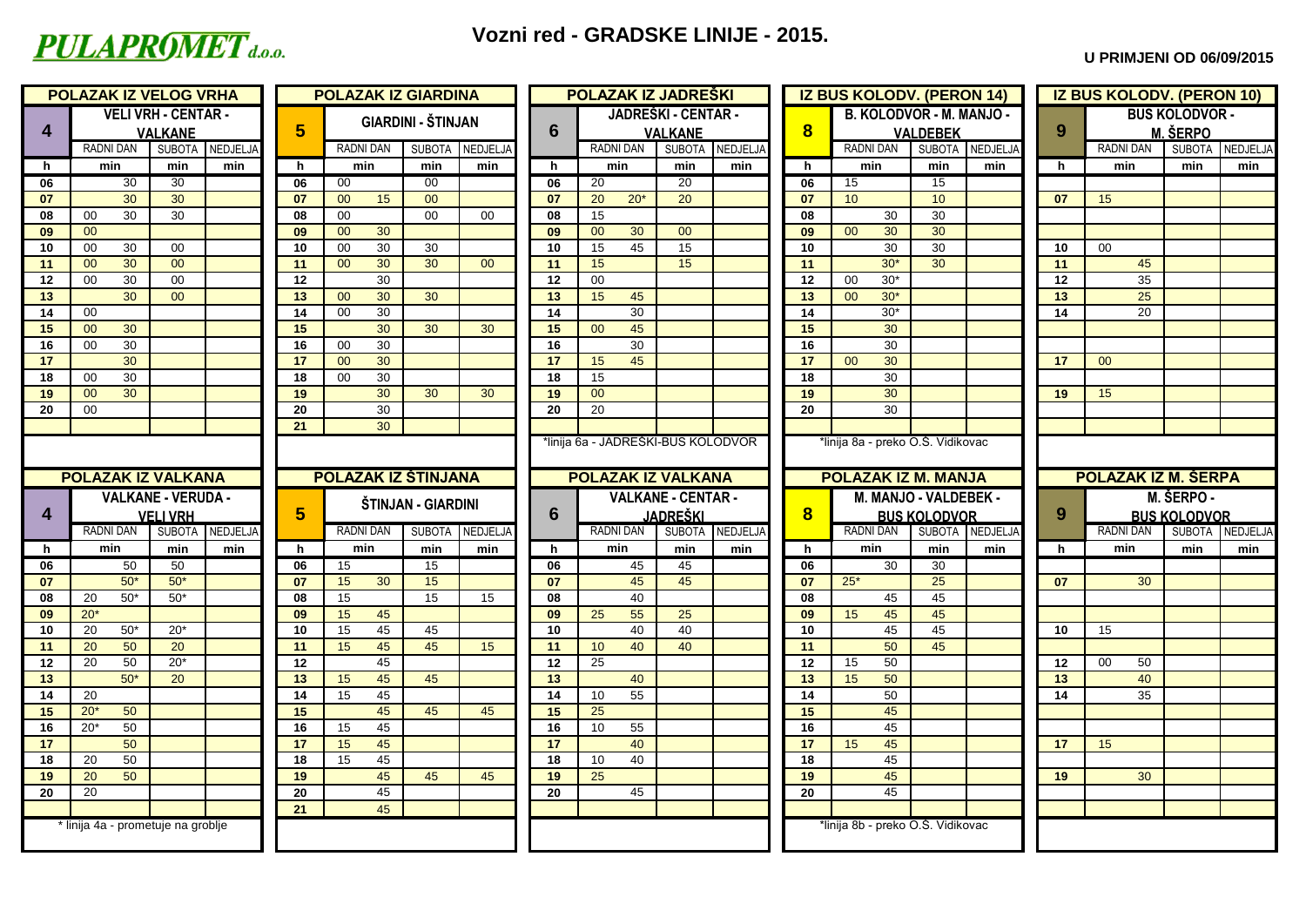

### **Vozni red - GRADSKE LINIJE - 2015.**

#### **U PRIMJENI OD 06/09/2015**

|                                   | <b>POLAZAK IZ VELOG VRHA</b>       |                            |                 |          | <b>POLAZAK IZ GIARDINA</b> |                           |                 |                 | <b>POLAZAK IZ JADREŠKI</b>         |                     |          |                         | <b>IZ BUS KOLODV. (PERON 14)</b>  |                     |          |    | <b>IZ BUS KOLODV. (PERON 10)</b> |                       |                 |
|-----------------------------------|------------------------------------|----------------------------|-----------------|----------|----------------------------|---------------------------|-----------------|-----------------|------------------------------------|---------------------|----------|-------------------------|-----------------------------------|---------------------|----------|----|----------------------------------|-----------------------|-----------------|
|                                   |                                    | <b>VELI VRH - CENTAR -</b> |                 |          |                            | <b>GIARDINI - ŠTINJAN</b> |                 |                 |                                    | JADREŠKI - CENTAR - |          |                         | B. KOLODVOR - M. MANJO -          |                     |          |    |                                  | <b>BUS KOLODVOR -</b> |                 |
| 4                                 |                                    | <b>VALKANE</b>             |                 | 5        |                            |                           |                 | 6               |                                    | <b>VALKANE</b>      |          | $\overline{\mathbf{8}}$ |                                   | <b>VALDEBEK</b>     |          | 9  |                                  | <b>M. ŠERPO</b>       |                 |
|                                   | <b>RADNI DAN</b>                   |                            | SUBOTA NEDJELJA |          | <b>RADNI DAN</b>           | <b>SUBOTA</b>             | <b>NEDJELJA</b> |                 | <b>RADNI DAN</b>                   | SUBOTA NEDJELJA     |          |                         | <b>RADNI DAN</b>                  | SUBOTA              | NEDJELJA |    | <b>RADNI DAN</b>                 |                       | SUBOTA NEDJELJA |
| h                                 | min                                | min                        | min             | h.       | min                        | min                       | min             | h.              | min                                | min                 | min      | h.                      | min                               | min                 | min      | h  | min                              | min                   | min             |
| 06                                | 30                                 | $\overline{30}$            |                 | 06       | 00                         | $\overline{00}$           |                 | 06              | 20                                 | 20                  |          | 06                      | 15                                | 15                  |          |    |                                  |                       |                 |
| 07                                | 30                                 | 30                         |                 | 07       | 00<br>15                   | 00                        |                 | 07              | $20*$<br>20                        | 20                  |          | 07                      | 10                                | 10 <sup>1</sup>     |          | 07 | 15                               |                       |                 |
| 08                                | 30<br>00                           | 30                         |                 | 08       | 00                         | $00\,$                    | 00 <sup>°</sup> | 08              | 15                                 |                     |          | 08                      | 30                                | 30                  |          |    |                                  |                       |                 |
| 09                                | 00                                 |                            |                 | 09       | 00<br>30                   |                           |                 | 09              | 30<br>00                           | 00                  |          | 09                      | 30<br>00                          | 30                  |          |    |                                  |                       |                 |
| 10                                | 00<br>30                           | 00                         |                 | 10       | 30<br>00                   | 30                        |                 | 10 <sup>1</sup> | 15<br>45                           | 15                  |          | 10                      | 30                                | 30                  |          | 10 | 00                               |                       |                 |
| 11                                | 30<br>00                           | 00                         |                 | 11       | 30<br>00                   | 30                        | 00              | 11              | 15                                 | 15                  |          | 11                      | $30*$                             | 30                  |          | 11 | 45                               |                       |                 |
| 12                                | 30<br>00                           | $00\,$                     |                 | 12       | 30                         |                           |                 | 12              | $00\,$                             |                     |          | 12                      | $30*$<br>$00\,$                   |                     |          | 12 | 35                               |                       |                 |
| 13                                | 30                                 | 00                         |                 | 13       | 30<br>00                   | 30                        |                 | 13              | 15<br>45<br>30                     |                     |          | 13                      | $30*$<br>00 <sub>o</sub><br>$30*$ |                     |          | 13 | 25                               |                       |                 |
| 14                                | 00<br>30<br>00                     |                            |                 | 14<br>15 | 30<br>00<br>30             | 30                        | 30              | 14<br>15        | 45<br>00                           |                     |          | 14<br>15                | 30                                |                     |          | 14 | 20                               |                       |                 |
| 15<br>16                          | 30<br>00                           |                            |                 | 16       | 30<br>00                   |                           |                 | 16              | 30                                 |                     |          | 16                      | 30                                |                     |          |    |                                  |                       |                 |
| 17                                | 30                                 |                            |                 | 17       | 30<br>00                   |                           |                 | 17 <sup>2</sup> | 45<br>15                           |                     |          | 17                      | 30<br>00                          |                     |          | 17 | 00 <sup>°</sup>                  |                       |                 |
| 18                                | 30<br>00                           |                            |                 | 18       | 30<br>00                   |                           |                 | 18              | 15                                 |                     |          | 18                      | 30                                |                     |          |    |                                  |                       |                 |
| 19                                | 30<br>00                           |                            |                 | 19       | 30                         | 30                        | 30              | 19              | 00                                 |                     |          | 19                      | 30                                |                     |          | 19 | 15                               |                       |                 |
| 20                                | 00                                 |                            |                 | 20       | 30                         |                           |                 | 20              | 20                                 |                     |          | 20                      | 30                                |                     |          |    |                                  |                       |                 |
|                                   |                                    |                            |                 | 21       | 30                         |                           |                 |                 |                                    |                     |          |                         |                                   |                     |          |    |                                  |                       |                 |
|                                   |                                    |                            |                 |          |                            |                           |                 |                 | *linija 6a - JADREŠKI-BUS KOLODVOR |                     |          |                         | *linija 8a - preko O.Š. Vidikovac |                     |          |    |                                  |                       |                 |
|                                   |                                    |                            |                 |          |                            |                           |                 |                 |                                    |                     |          |                         |                                   |                     |          |    |                                  |                       |                 |
|                                   | <b>POLAZAK IZ VALKANA</b>          |                            |                 |          | <b>POLAZAK IZ ŠTINJANA</b> |                           |                 |                 | <b>POLAZAK IZ VALKANA</b>          |                     |          |                         | <b>POLAZAK IZ M. MANJA</b>        |                     |          |    | <b>POLAZAK IZ M. ŠERPA</b>       |                       |                 |
|                                   |                                    | <b>VALKANE - VERUDA -</b>  |                 |          |                            |                           |                 |                 |                                    | VALKANE - CENTAR -  |          |                         | M. MANJO - VALDEBEK -             |                     |          |    |                                  | M. ŠERPO -            |                 |
| $\overline{\mathbf{4}}$           |                                    | <b>VELI VRH</b>            |                 | 5        |                            | ŠTINJAN - GIARDINI        |                 | 6               |                                    | <b>JADREŠKI</b>     |          | $\overline{\mathbf{8}}$ |                                   | <b>BUS KOLODVOR</b> |          | 9  |                                  | <b>BUS KOLODVOR</b>   |                 |
|                                   | <b>RADNI DAN</b>                   |                            |                 |          |                            |                           |                 |                 | <b>RADNI DAN</b>                   |                     |          |                         |                                   |                     |          |    |                                  |                       |                 |
| h                                 |                                    |                            |                 |          |                            |                           |                 |                 |                                    |                     |          |                         | <b>RADNI DAN</b>                  |                     |          |    |                                  |                       |                 |
|                                   | min                                | min                        | SUBOTA NEDJELJA | h.       | <b>RADNI DAN</b><br>min    | SUBOTA NEDJELJA           |                 | h.              | min                                | <b>SUBOTA</b>       | NEDJELJA | h.                      | min                               | SUBOTA NEDJELJA     |          | h  | <b>RADNI DAN</b><br>min          | <b>SUBOTA</b><br>min  | NEDJELJA<br>min |
| 06                                |                                    | 50                         | min             | 06       | 15                         | min<br>15                 | min             | 06              | 45                                 | min<br>45           | min      | 06                      | 30 <sup>7</sup>                   | min<br>30           | min      |    |                                  |                       |                 |
| 07                                | 50<br>$50*$                        | $50*$                      |                 | 07       | 15<br>30                   | 15                        |                 | 07              | 45                                 | 45                  |          | 07                      | $25*$                             | 25                  |          | 07 | 30                               |                       |                 |
| 08                                | $50*$<br>20                        | $50*$                      |                 | 08       | 15                         | 15                        | 15              | 08              | 40                                 |                     |          | 08                      | 45                                | 45                  |          |    |                                  |                       |                 |
|                                   | $20*$                              |                            |                 | 09       | 15<br>45                   |                           |                 | 09              | 55<br>25                           | 25                  |          | 09                      | 45<br>15                          | 45                  |          |    |                                  |                       |                 |
|                                   | $50*$<br>20                        | $20*$                      |                 | 10       | 45<br>15                   | 45                        |                 | 10 <sup>1</sup> | 40                                 | 40                  |          | 10                      | 45                                | 45                  |          | 10 | 15                               |                       |                 |
|                                   | 50<br>20                           | 20                         |                 | 11       | 45<br>15                   | 45                        | 15              | 11              | 40<br>10                           | 40                  |          | 11                      | 50                                | 45                  |          |    |                                  |                       |                 |
| 09<br>10<br>11<br>$\overline{12}$ | 50<br>20                           | $20*$                      |                 | 12       | 45                         |                           |                 | 12 <sup>2</sup> | 25                                 |                     |          | 12                      | 50<br>15                          |                     |          | 12 | $00\,$<br>50                     |                       |                 |
|                                   | $50*$                              | 20                         |                 | 13       | 45<br>15                   | 45                        |                 | 13              | 40                                 |                     |          | 13                      | 15<br>50                          |                     |          | 13 | 40                               |                       |                 |
| 13<br>14                          | 20                                 |                            |                 | 14       | 45<br>15                   |                           |                 | 14              | 55<br>10                           |                     |          | 14                      | 50                                |                     |          | 14 | 35                               |                       |                 |
| 15                                | $20*$<br>50                        |                            |                 | 15       | 45                         | 45                        | 45              | 15              | 25                                 |                     |          | 15                      | 45                                |                     |          |    |                                  |                       |                 |
| 16                                | $20*$<br>50                        |                            |                 | 16       | 15<br>45                   |                           |                 | 16              | 10<br>55                           |                     |          | 16                      | 45                                |                     |          |    |                                  |                       |                 |
| 17                                | 50                                 |                            |                 | 17       | 45<br>15                   |                           |                 | 17              | 40                                 |                     |          | 17                      | 45<br>15                          |                     |          | 17 | 15                               |                       |                 |
|                                   | 50<br>20                           |                            |                 | 18       | 45<br>15                   |                           |                 | 18              | 40<br>10                           |                     |          | 18                      | 45                                |                     |          |    |                                  |                       |                 |
| 18<br>19                          | 50<br>20                           |                            |                 | 19       | 45                         | 45                        | 45              | 19              | 25                                 |                     |          | 19                      | 45                                |                     |          | 19 | 30                               |                       |                 |
| 20                                | 20                                 |                            |                 | 20       | 45                         |                           |                 | 20              | 45                                 |                     |          | 20                      | 45                                |                     |          |    |                                  |                       |                 |
|                                   |                                    |                            |                 | 21       | 45                         |                           |                 |                 |                                    |                     |          |                         |                                   |                     |          |    |                                  |                       |                 |
|                                   | * linija 4a - prometuje na groblje |                            |                 |          |                            |                           |                 |                 |                                    |                     |          |                         | *linija 8b - preko O.Š. Vidikovac |                     |          |    |                                  |                       |                 |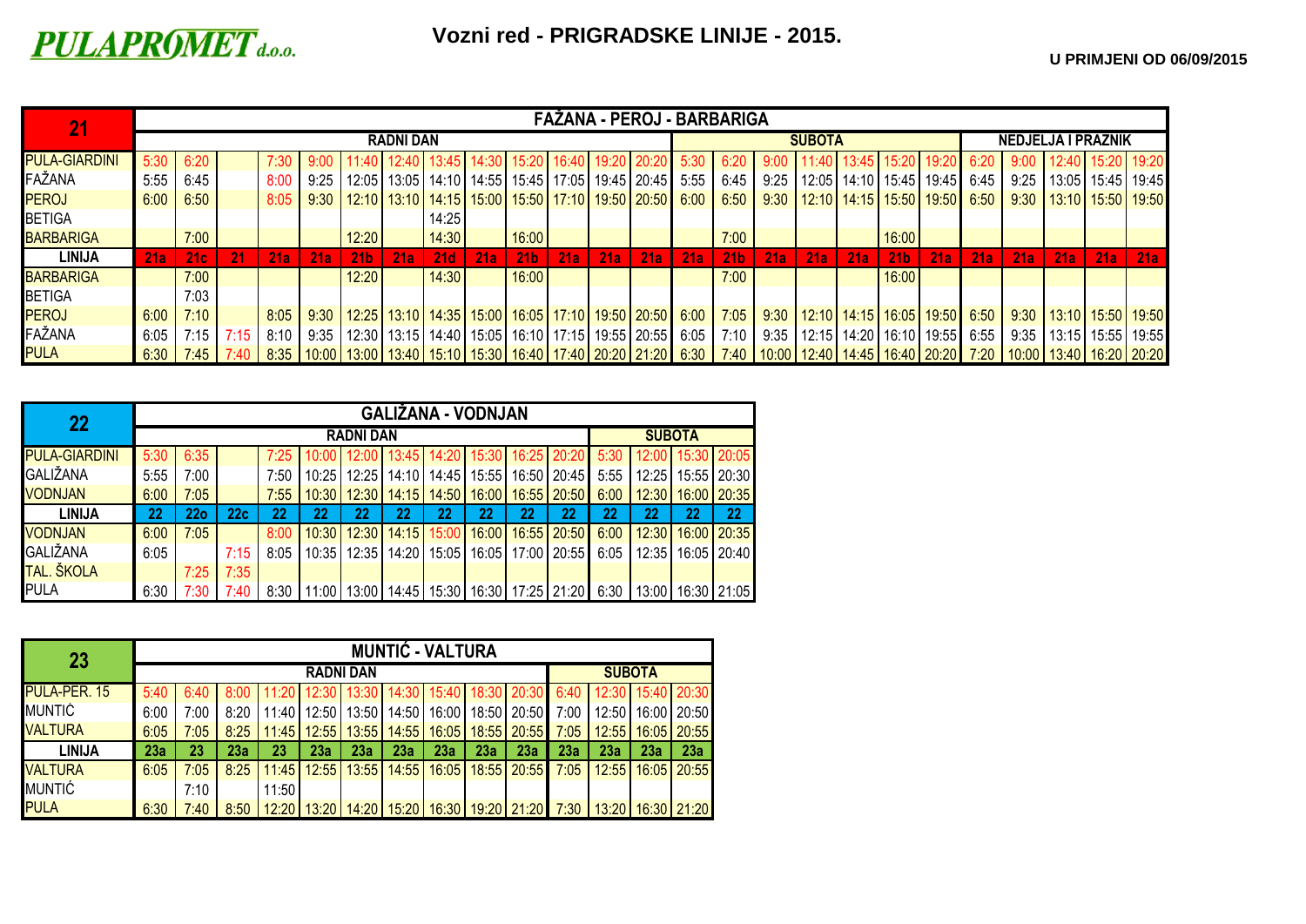# **PULAPROMET** d.o.o.

|                      |        |            |      |        |      |                                                                                                                                                                                                                                 |                  |       |     |                 |     |     | FAŽANA - PEROJ - BARBARIGA                                    |             |                 |             |               |            |                 |                                      |      |                           |                     |     |                              |
|----------------------|--------|------------|------|--------|------|---------------------------------------------------------------------------------------------------------------------------------------------------------------------------------------------------------------------------------|------------------|-------|-----|-----------------|-----|-----|---------------------------------------------------------------|-------------|-----------------|-------------|---------------|------------|-----------------|--------------------------------------|------|---------------------------|---------------------|-----|------------------------------|
|                      |        |            |      |        |      |                                                                                                                                                                                                                                 | <b>RADNI DAN</b> |       |     |                 |     |     |                                                               |             |                 |             | <b>SUBOTA</b> |            |                 |                                      |      | <b>NEDJELJA I PRAZNIK</b> |                     |     |                              |
| <b>PULA-GIARDINI</b> | 5:30   | 6:20       |      | 7:30 - |      | 11:40 12:40 13:45 14:30 15:20 16:40 19:20 20:20                                                                                                                                                                                 |                  |       |     |                 |     |     |                                                               | 5:30        | 6:20            |             |               |            |                 | 11:40   13:45   15:20   19:20        | 6:20 | 9:00                      | $12:40$ 15:20 19:20 |     |                              |
| FAŽANA               | 5:55   | 6:45       |      | 8:00   | 9:25 |                                                                                                                                                                                                                                 |                  |       |     |                 |     |     | 12:05   13:05   14:10   14:55   15:45   17:05   19:45   20:45 | $5:55$ 6:45 |                 | 9:25        |               |            |                 | 12:05   14:10   15:45   19:45   6:45 |      | 9:25                      |                     |     | $13:05$   15:45   19:45      |
| <b>PEROJ</b>         | 6:00   | 6:50       |      | 8:05   | 9:30 | 12:10   13:10   14:15   15:00   15:50   17:10   19:50   20:50                                                                                                                                                                   |                  |       |     |                 |     |     |                                                               | 6:00        |                 | $6:50$ 9:30 |               |            |                 | 12:10   14:15   15:50   19:50   6:50 |      |                           |                     |     | 9:30   13:10   15:50   19:50 |
| <b>BETIGA</b>        |        |            |      |        |      |                                                                                                                                                                                                                                 |                  | 14:25 |     |                 |     |     |                                                               |             |                 |             |               |            |                 |                                      |      |                           |                     |     |                              |
| <b>BARBARIGA</b>     |        | 7:00       |      |        |      | 12:20                                                                                                                                                                                                                           |                  | 14:30 |     | 16:00           |     |     |                                                               |             | 7:00            |             |               |            | 16:00           |                                      |      |                           |                     |     |                              |
| <b>LINIJA</b>        | 21a    | <b>21c</b> | 21   | 21a    | 21a  | 21 <sub>b</sub>                                                                                                                                                                                                                 | 21a              | 21d   | 21a | 21 <sub>b</sub> | 21a | 21a | <b>21a</b>                                                    | 21a         | 21 <sub>b</sub> | 21a         | 21a           | <b>21a</b> | 21 <sub>b</sub> | 21a                                  | 21a  | 21a                       | 21a                 | 21a | 21a                          |
| <b>BARBARIGA</b>     |        | 7:00       |      |        |      | 12:20                                                                                                                                                                                                                           |                  | 14:30 |     | 16:00           |     |     |                                                               |             | 7:00            |             |               |            | 16:00           |                                      |      |                           |                     |     |                              |
| <b>BETIGA</b>        |        | 7:03       |      |        |      |                                                                                                                                                                                                                                 |                  |       |     |                 |     |     |                                                               |             |                 |             |               |            |                 |                                      |      |                           |                     |     |                              |
| <b>PEROJ</b>         | 6:00   | 7:10       |      | 8:05   | 9:30 | 12:25   13:10   14:35   15:00   16:05   17:10   19:50   20:50   6:00   7:05   9:30   12:10   14:15   16:05   19:50   6:50   6:50   13:10   15:50   19:50   19:50                                                                |                  |       |     |                 |     |     |                                                               |             |                 |             |               |            |                 |                                      |      |                           |                     |     |                              |
| FAŽANA               | 6:05   | 7:15       | 7:15 | 8:10   | 9:35 | 12:30   13:15   14:40   15:05   16:10   17:15   19:55   20:55   6:05   7:10   9:35   12:15   14:20   16:10   19:55   6:55   6:55   3:35   13:15   15:55   19:55                                                                 |                  |       |     |                 |     |     |                                                               |             |                 |             |               |            |                 |                                      |      |                           |                     |     |                              |
| <b>PULA</b>          | $6:30$ | 7:45 7:40  |      |        |      | 8:35   10:00   13:00   13:40   15:10   15:30   16:40   17:40   20:20   21:20   6:30   7:40   10:00   12:40   14:45   16:40   20:20   7:20   10:00   13:40   16:20   20:20   13:40   15:30   16:40   16:20   20:20   7:30   10:0 |                  |       |     |                 |     |     |                                                               |             |                 |             |               |            |                 |                                      |      |                           |                     |     |                              |

| 22                   |      |                 |      |      |       |       |               | <b>GALIŽANA - VODNJAN</b> |    |    |                                       |      |       |    |                                                                                             |
|----------------------|------|-----------------|------|------|-------|-------|---------------|---------------------------|----|----|---------------------------------------|------|-------|----|---------------------------------------------------------------------------------------------|
|                      |      |                 |      |      |       |       | <b>SUBOTA</b> |                           |    |    |                                       |      |       |    |                                                                                             |
| <b>PULA-GIARDINI</b> | 5:30 | 6:35            |      | 7:25 | 10:00 |       |               |                           |    |    | 12:00 13:45 14:20 15:30 16:25 20:20   |      |       |    | $5:30$   12:00   15:30   20:05                                                              |
| <b>GALIŽANA</b>      | 5:55 | 7:00            |      | 7:50 | 10:25 | 12:25 |               |                           |    |    | 14:10   14:45   15:55   16:50   20:45 | 5:55 | 12:25 |    | 15:55 20:30                                                                                 |
| <b>VODNJAN</b>       | 6:00 | 7:05            |      | 7:55 | 10:30 | 12:30 |               | 14:15   14:50   16:00     |    |    | 16:55 20:50                           | 6:00 | 12:30 |    | 16:00   20:35                                                                               |
| <b>LINIJA</b>        | 22   | 22 <sub>0</sub> | 22c  | 22   | 22    | 22    | 22            | 22                        | 22 | 22 | 22                                    | 22   | 22    | 22 | 22                                                                                          |
| <b>VODNJAN</b>       | 6:00 | 7:05            |      | 8:00 | 10:30 | 12:30 |               | 14:15 15:00 16:00         |    |    | 16:55 20:50                           | 6:00 | 12:30 |    | 16:00 20:35                                                                                 |
| <b>GALIŽANA</b>      | 6:05 |                 | 7:15 | 8:05 | 10:35 | 12:35 |               |                           |    |    | 14:20   15:05   16:05   17:00   20:55 | 6:05 | 12:35 |    | 16:05   20:40                                                                               |
| TAL. ŠKOLA           |      | 7:25            | 7:35 |      |       |       |               |                           |    |    |                                       |      |       |    |                                                                                             |
| <b>PULA</b>          | 6:30 | 7:30            | 7:40 |      |       |       |               |                           |    |    |                                       |      |       |    | 8:30   11:00   13:00   14:45   15:30   16:30   17:25   21:20   6:30   13:00   16:30   21:05 |

| 23                  |      |      |      |       |       |               |       | <b>MUNTIĆ - VALTURA</b> |       |                                                                              |      |     |                       |                                                                                                    |
|---------------------|------|------|------|-------|-------|---------------|-------|-------------------------|-------|------------------------------------------------------------------------------|------|-----|-----------------------|----------------------------------------------------------------------------------------------------|
|                     |      |      |      |       |       | <b>SUBOTA</b> |       |                         |       |                                                                              |      |     |                       |                                                                                                    |
| <b>PULA-PER. 15</b> | 5:40 | 6:40 |      | 11:20 |       |               |       |                         |       | 12:30   13:30   14:30   15:40   18:30   20:30   6:40   12:30   15:40   20:30 |      |     |                       |                                                                                                    |
| <b>MUNTIĆ</b>       | 6:00 | 7:00 | 8:20 | 11:40 | 12:50 | 13:50         | 14:50 | 16:00                   |       | 18:50 20:50                                                                  | 7:00 |     | 12:50   16:00         | 20:50                                                                                              |
| <b>VALTURA</b>      | 6:05 | 7:05 | 8:25 | 11:45 | 12:55 | 13:55         | 14:55 | 16:05                   |       | $18:55$   20:55                                                              | 7:05 |     | 12:55   16:05   20:55 |                                                                                                    |
| <b>LINIJA</b>       | 23a  | 23   | 23a  | 23    | 23a   | 23a           | 23a   | 23a                     | 23a   | 23a                                                                          | 23a  | 23а | 23a                   | 23a                                                                                                |
| <b>VALTURA</b>      | 6:05 | 7:05 | 8:25 | 11:45 | 12:55 | 13:55         | 14:55 | 16:05                   | 18:55 | 20:55                                                                        | 7:05 |     | 12:55 16:05           | 20:55                                                                                              |
| <b>MUNTIĆ</b>       |      | 7:10 |      | 11:50 |       |               |       |                         |       |                                                                              |      |     |                       |                                                                                                    |
| <b>PULA</b>         | 6:30 | 7:40 | 8:50 |       |       |               |       |                         |       |                                                                              |      |     |                       | <sup> </sup> 12:20   13:20   14:20   15:20   16:30   19:20   21:20   7:30    13:20   16:30   21:20 |